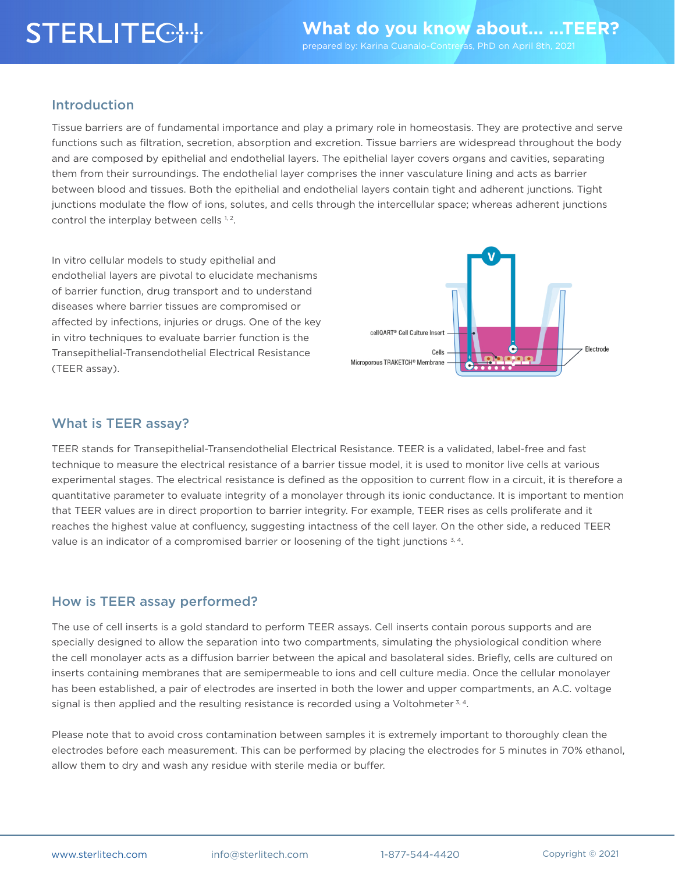# **STERLITEC: H:**

#### Introduction

Tissue barriers are of fundamental importance and play a primary role in homeostasis. They are protective and serve functions such as filtration, secretion, absorption and excretion. Tissue barriers are widespread throughout the body and are composed by epithelial and endothelial layers. The epithelial layer covers organs and cavities, separating them from their surroundings. The endothelial layer comprises the inner vasculature lining and acts as barrier between blood and tissues. Both the epithelial and endothelial layers contain tight and adherent junctions. Tight junctions modulate the flow of ions, solutes, and cells through the intercellular space; whereas adherent junctions control the interplay between cells 1, 2.

In vitro cellular models to study epithelial and endothelial layers are pivotal to elucidate mechanisms of barrier function, drug transport and to understand diseases where barrier tissues are compromised or affected by infections, injuries or drugs. One of the key in vitro techniques to evaluate barrier function is the Transepithelial-Transendothelial Electrical Resistance (TEER assay).



### What is TEER assay?

TEER stands for Transepithelial-Transendothelial Electrical Resistance. TEER is a validated, label-free and fast technique to measure the electrical resistance of a barrier tissue model, it is used to monitor live cells at various experimental stages. The electrical resistance is defined as the opposition to current flow in a circuit, it is therefore a quantitative parameter to evaluate integrity of a monolayer through its ionic conductance. It is important to mention that TEER values are in direct proportion to barrier integrity. For example, TEER rises as cells proliferate and it reaches the highest value at confluency, suggesting intactness of the cell layer. On the other side, a reduced TEER value is an indicator of a compromised barrier or loosening of the tight junctions 3, 4.

### How is TEER assay performed?

The use of cell inserts is a gold standard to perform TEER assays. Cell inserts contain porous supports and are specially designed to allow the separation into two compartments, simulating the physiological condition where the cell monolayer acts as a diffusion barrier between the apical and basolateral sides. Briefly, cells are cultured on inserts containing membranes that are semipermeable to ions and cell culture media. Once the cellular monolayer has been established, a pair of electrodes are inserted in both the lower and upper compartments, an A.C. voltage signal is then applied and the resulting resistance is recorded using a Voltohmeter  $3, 4$ .

Please note that to avoid cross contamination between samples it is extremely important to thoroughly clean the electrodes before each measurement. This can be performed by placing the electrodes for 5 minutes in 70% ethanol, allow them to dry and wash any residue with sterile media or buffer.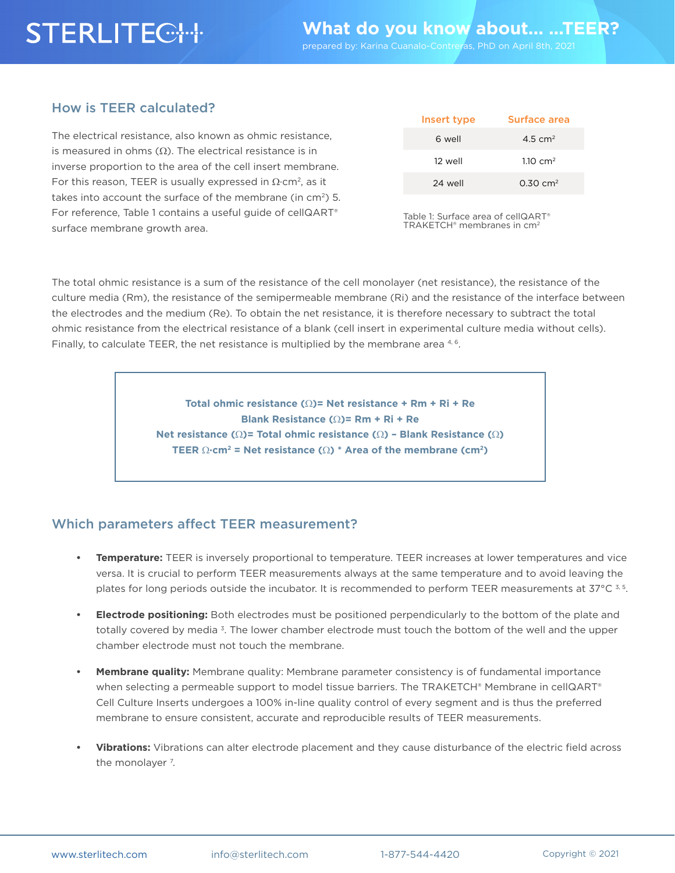# **STERLITECTH**

### How is TEER calculated?

The electrical resistance, also known as ohmic resistance, is measured in ohms ( $Ω$ ). The electrical resistance is in inverse proportion to the area of the cell insert membrane. For this reason, TEER is usually expressed in  $\Omega$ ·cm<sup>2</sup>, as it takes into account the surface of the membrane (in  $cm<sup>2</sup>$ ) 5. For reference, Table 1 contains a useful guide of cellQART® surface membrane growth area.

| Insert type | Surface area          |
|-------------|-----------------------|
| 6 well      | 4.5 $cm2$             |
| 12 well     | 1.10 $cm2$            |
| 24 well     | $0.30 \, \text{cm}^2$ |

Table 1: Surface area of cellQART® TRAKETCH® membranes in cm2

The total ohmic resistance is a sum of the resistance of the cell monolayer (net resistance), the resistance of the culture media (Rm), the resistance of the semipermeable membrane (Ri) and the resistance of the interface between the electrodes and the medium (Re). To obtain the net resistance, it is therefore necessary to subtract the total ohmic resistance from the electrical resistance of a blank (cell insert in experimental culture media without cells). Finally, to calculate TEER, the net resistance is multiplied by the membrane area  $4,6$ .

> **Total ohmic resistance (**Ω**)= Net resistance + Rm + Ri + Re Blank Resistance (**Ω**)= Rm + Ri + Re Net resistance (**Ω**)= Total ohmic resistance (**Ω**) – Blank Resistance (**Ω**) TEER** Ω**·cm2 = Net resistance (**Ω**) \* Area of the membrane (cm2)**

## Which parameters affect TEER measurement?

- **• Temperature:** TEER is inversely proportional to temperature. TEER increases at lower temperatures and vice versa. It is crucial to perform TEER measurements always at the same temperature and to avoid leaving the plates for long periods outside the incubator. It is recommended to perform TEER measurements at  $37^{\circ}$ C  $3.5$ .
- **• Electrode positioning:** Both electrodes must be positioned perpendicularly to the bottom of the plate and totally covered by media 3. The lower chamber electrode must touch the bottom of the well and the upper chamber electrode must not touch the membrane.
- **• Membrane quality:** Membrane quality: Membrane parameter consistency is of fundamental importance when selecting a permeable support to model tissue barriers. The TRAKETCH® Membrane in cellQART® Cell Culture Inserts undergoes a 100% in-line quality control of every segment and is thus the preferred membrane to ensure consistent, accurate and reproducible results of TEER measurements.
- **• Vibrations:** Vibrations can alter electrode placement and they cause disturbance of the electric field across the monolayer <sup>7</sup>.